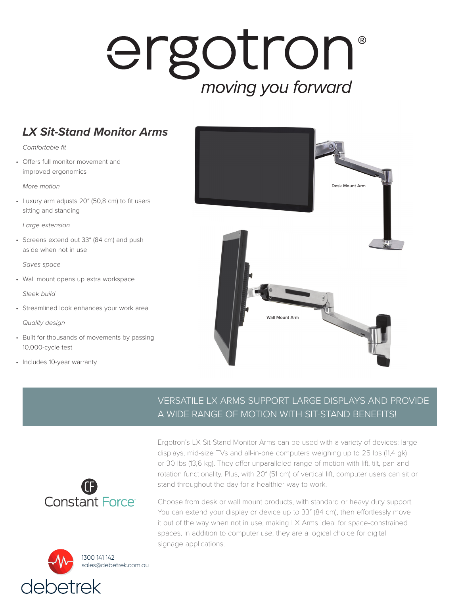## ergotron® moving you forward

## *LX Sit-Stand Monitor Arms*

*Comfortable fit*

• Offers full monitor movement and improved ergonomics

*More motion*

• Luxury arm adjusts 20″ (50,8 cm) to fit users sitting and standing

*Large extension*

• Screens extend out 33″ (84 cm) and push aside when not in use

*Saves space*

• Wall mount opens up extra workspace

*Sleek build*

• Streamlined look enhances your work area

*Quality design*

- Built for thousands of movements by passing 10,000-cycle test
- Includes 10-year warranty



## VERSATILE LX ARMS SUPPORT LARGE DISPLAYS AND PROVIDE A WIDE RANGE OF MOTION WITH SIT-STAND BENEFITS!





Ergotron's LX Sit-Stand Monitor Arms can be used with a variety of devices: large displays, mid-size TVs and all-in-one computers weighing up to 25 lbs (11,4 gk) or 30 lbs (13,6 kg). They offer unparalleled range of motion with lift, tilt, pan and rotation functionality. Plus, with 20″ (51 cm) of vertical lift, computer users can sit or stand throughout the day for a healthier way to work.

Choose from desk or wall mount products, with standard or heavy duty support. You can extend your display or device up to 33″ (84 cm), then effortlessly move it out of the way when not in use, making LX Arms ideal for space-constrained spaces. In addition to computer use, they are a logical choice for digital signage applications.